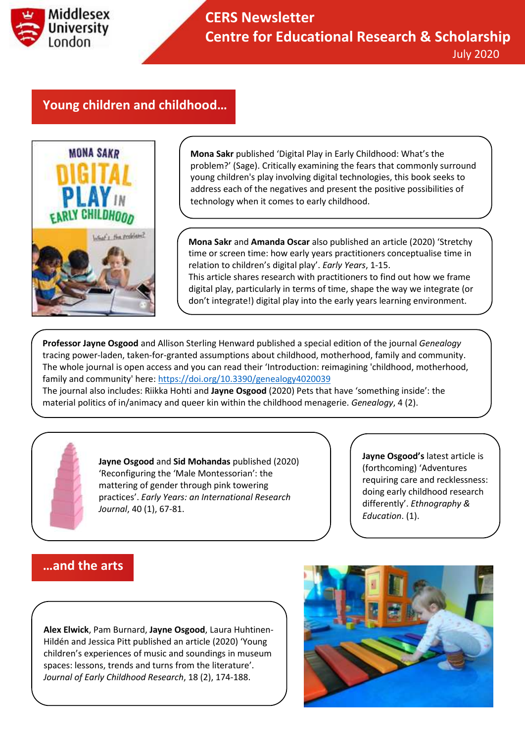

## **Young children and childhood…**



**Mona Sakr** published 'Digital Play in Early Childhood: What's the problem?' (Sage). Critically examining the fears that commonly surround young children's play involving digital technologies, this book seeks to address each of the negatives and present the positive possibilities of technology when it comes to early childhood.

**Mona Sakr** and **Amanda Oscar** also published an article (2020) 'Stretchy time or screen time: how early years practitioners conceptualise time in relation to children's digital play'. *Early Years*, 1-15.

This article shares research with practitioners to find out how we frame digital play, particularly in terms of time, shape the way we integrate (or don't integrate!) digital play into the early years learning environment.

**Professor Jayne Osgood** and Allison Sterling Henward published a special edition of the journal *Genealogy* tracing power-laden, taken-for-granted assumptions about childhood, motherhood, family and community. The whole journal is open access and you can read their 'Introduction: reimagining 'childhood, motherhood, family and community' here:<https://doi.org/10.3390/genealogy4020039>

The journal also includes: Riikka Hohti and **Jayne Osgood** (2020) Pets that have 'something inside': the material politics of in/animacy and queer kin within the childhood menagerie. *Genealogy*, 4 (2).

> **Jayne Osgood** and **Sid Mohandas** published (2020) 'Reconfiguring the 'Male Montessorian': the mattering of gender through pink towering practices'. *Early Years: an International Research Journal*, 40 (1), 67-81.

**Jayne Osgood's** latest article is (forthcoming) 'Adventures requiring care and recklessness: doing early childhood research differently'. *Ethnography & Education*. (1).

### **…and the arts**

**Alex Elwick**, Pam Burnard, **Jayne Osgood**, Laura Huhtinen-Hildén and Jessica Pitt published an article (2020) 'Young children's experiences of music and soundings in museum spaces: lessons, trends and turns from the literature'. *Journal of Early Childhood Research*, 18 (2), 174-188.

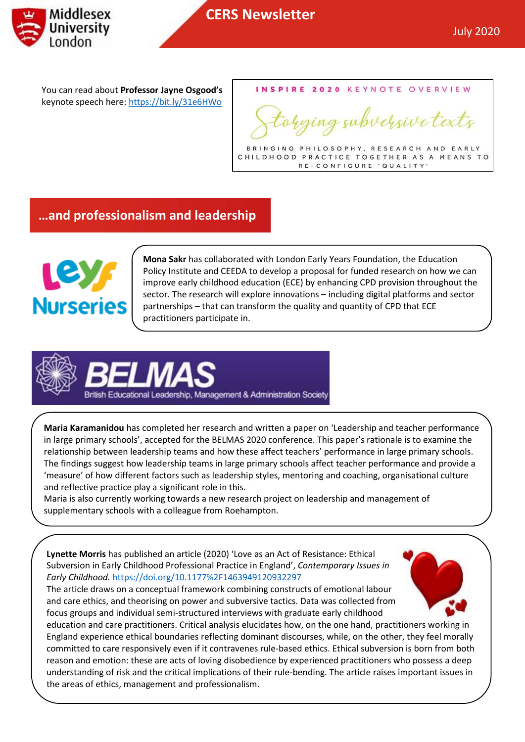

You can read about **Professor Jayne Osgood's** keynote speech here:<https://bit.ly/31e6HWo>

INSPIRE 2020 KEYNOTE OVERVIEW

tying subversive texts

BRINGING PHILOSOPHY, RESEARCH AND EARLY CHILDHOOD PRACTICE TOGETHER AS A MEANS TO RE-CONFIGURE 'QUALITY'

## **…and professionalism and leadership**



**Mona Sakr** has collaborated with London Early Years Foundation, the Education Policy Institute and CEEDA to develop a proposal for funded research on how we can improve early childhood education (ECE) by enhancing CPD provision throughout the sector. The research will explore innovations – including digital platforms and sector partnerships – that can transform the quality and quantity of CPD that ECE practitioners participate in.



**Maria Karamanidou** has completed her research and written a paper on 'Leadership and teacher performance in large primary schools', accepted for the BELMAS 2020 conference. This paper's rationale is to examine the relationship between leadership teams and how these affect teachers' performance in large primary schools. The findings suggest how leadership teams in large primary schools affect teacher performance and provide a 'measure' of how different factors such as leadership styles, mentoring and coaching, organisational culture and reflective practice play a significant role in this.

Maria is also currently working towards a new research project on leadership and management of supplementary schools with a colleague from Roehampton.

**Lynette Morris** has published an article (2020) 'Love as an Act of Resistance: Ethical Subversion in Early Childhood Professional Practice in England', *Contemporary Issues in Early Childhood.* <https://doi.org/10.1177%2F1463949120932297>

The article draws on a conceptual framework combining constructs of emotional labour and care ethics, and theorising on power and subversive tactics. Data was collected from focus groups and individual semi-structured interviews with graduate early childhood



education and care practitioners. Critical analysis elucidates how, on the one hand, practitioners working in England experience ethical boundaries reflecting dominant discourses, while, on the other, they feel morally committed to care responsively even if it contravenes rule-based ethics. Ethical subversion is born from both reason and emotion: these are acts of loving disobedience by experienced practitioners who possess a deep understanding of risk and the critical implications of their rule-bending. The article raises important issues in the areas of ethics, management and professionalism.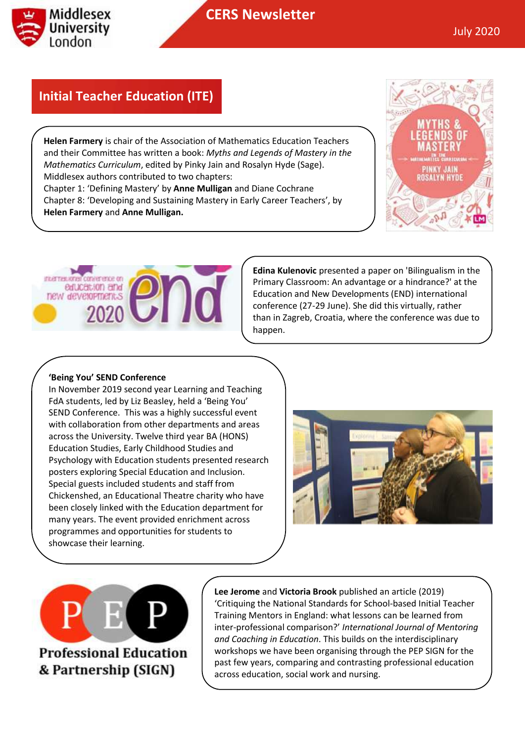

## **Initial Teacher Education (ITE)**

**Helen Farmery** and **Anne Mulligan.**

**Helen Farmery** is chair of the Association of Mathematics Education Teachers and their Committee has written a book: *Myths and Legends of Mastery in the Mathematics Curriculum*, edited by Pinky Jain and Rosalyn Hyde (Sage). Middlesex authors contributed to two chapters: Chapter 1: 'Defining Mastery' by **Anne Mulligan** and Diane Cochrane Chapter 8: 'Developing and Sustaining Mastery in Early Career Teachers', by





**Edina Kulenovic** presented a paper on 'Bilingualism in the Primary Classroom: An advantage or a hindrance?' at the Education and New Developments (END) international conference (27-29 June). She did this virtually, rather than in Zagreb, Croatia, where the conference was due to happen.

#### **'Being You' SEND Conference**

In November 2019 second year Learning and Teaching FdA students, led by Liz Beasley, held a 'Being You' SEND Conference. This was a highly successful event with collaboration from other departments and areas across the University. Twelve third year BA (HONS) Education Studies, Early Childhood Studies and Psychology with Education students presented research posters exploring Special Education and Inclusion. Special guests included students and staff from Chickenshed, an Educational Theatre charity who have been closely linked with the Education department for many years. The event provided enrichment across programmes and opportunities for students to showcase their learning.



**Professional Education** 

& Partnership (SIGN)

**Lee Jerome** and **Victoria Brook** published an article (2019) 'Critiquing the National Standards for School-based Initial Teacher Training Mentors in England: what lessons can be learned from inter-professional comparison?' *International Journal of Mentoring and Coaching in Education*. This builds on the interdisciplinary workshops we have been organising through the PEP SIGN for the past few years, comparing and contrasting professional education across education, social work and nursing.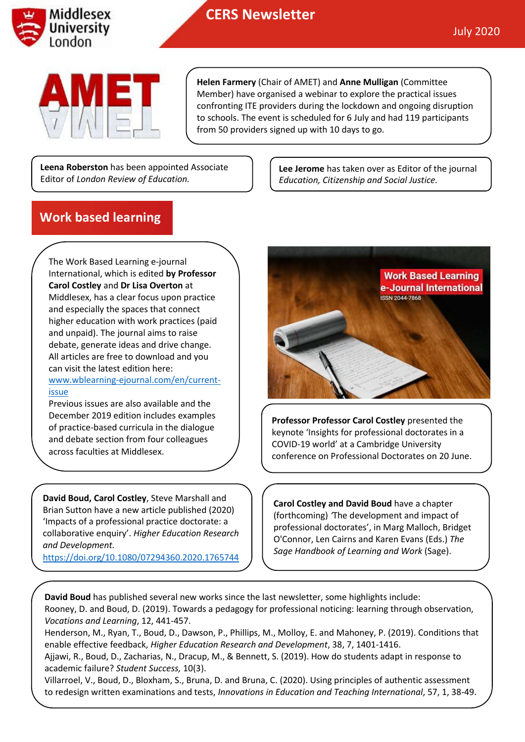

# **CERS Newsletter**



**Helen Farmery** (Chair of AMET) and **Anne Mulligan** (Committee Member) have organised a webinar to explore the practical issues confronting ITE providers during the lockdown and ongoing disruption to schools. The event is scheduled for 6 July and had 119 participants from 50 providers signed up with 10 days to go.

**Leena Roberston** has been appointed Associate Editor of *London Review of Education.*

**Lee Jerome** has taken over as Editor of the journal *Education, Citizenship and Social Justice.*

## **Work based learning**

The Work Based Learning e-journal International, which is edited **by Professor Carol Costley** and **Dr Lisa Overton** at Middlesex, has a clear focus upon practice and especially the spaces that connect higher education with work practices (paid and unpaid). The journal aims to raise debate, generate ideas and drive change. All articles are free to download and you can visit the latest edition here: [www.wblearning-ejournal.com/en/current-](http://www.wblearning-ejournal.com/en/current-issue)

#### [issue](http://www.wblearning-ejournal.com/en/current-issue)

Previous issues are also available and the December 2019 edition includes examples of practice-based curricula in the dialogue and debate section from four colleagues across faculties at Middlesex.

**David Boud, Carol Costley**, Steve Marshall and Brian Sutton have a new article published (2020) 'Impacts of a professional practice doctorate: a collaborative enquiry'. *Higher Education Research and Development.*

<https://doi.org/10.1080/07294360.2020.1765744>



**Professor Professor Carol Costley** presented the keynote 'Insights for professional doctorates in a COVID-19 world' at a Cambridge University conference on Professional Doctorates on 20 June.

**Carol Costley and David Boud** have a chapter (forthcoming) *'*The development and impact of professional doctorates', in Mar[g Malloch, B](http://eprints.mdx.ac.uk/view/creators/Malloch=3AMarg=3A=3A.html)ridget [O'Connor, L](http://eprints.mdx.ac.uk/view/creators/O=27Connor=3ABridget=3A=3A.html)en [Cairns](http://eprints.mdx.ac.uk/view/creators/Cairns=3ALen=3A=3A.html) and Kare[n Evans](http://eprints.mdx.ac.uk/view/creators/Evans=3AKaren=3A=3A.html) (Eds.) *The Sage Handbook of Learning and Work* (Sage).

**David Boud** has published several new works since the last newsletter, some highlights include: Rooney, D. and Boud, D. (2019). Towards a pedagogy for professional noticing: learning through observation, *Vocations and Learning*, 12, 441-457.

Henderson, M., Ryan, T., Boud, D., Dawson, P., Phillips, M., Molloy, E. and Mahoney, P. (2019). Conditions that enable effective feedback, *Higher Education Research and Development*, 38, 7, 1401-1416.

Ajjawi, R., Boud, D., Zacharias, N., Dracup, M., & Bennett, S. (2019). How do students adapt in response to academic failure? *Student Success,* 10(3).

Villarroel, V., Boud, D., Bloxham, S., Bruna, D. and Bruna, C. (2020). Using principles of authentic assessment to redesign written examinations and tests, *Innovations in Education and Teaching International*, 57, 1, 38-49.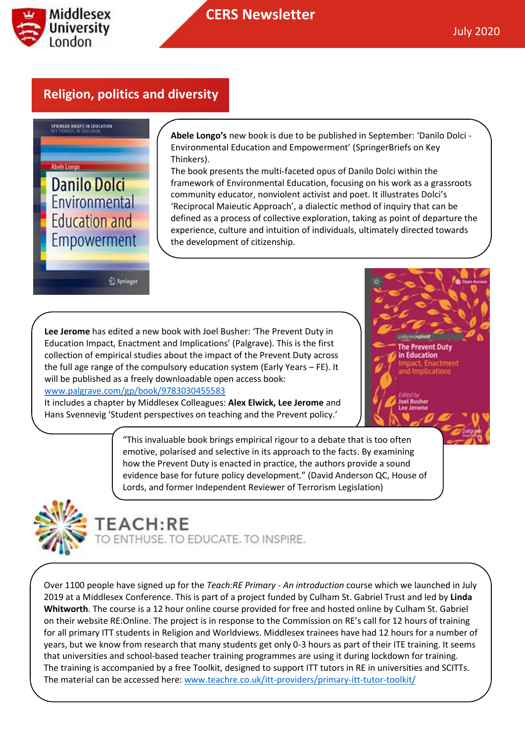

## **Religion, politics and diversity**



**Abele Longo's** new book is due to be published in September: 'Danilo Dolci - Environmental Education and Empowerment' (SpringerBriefs on Key Thinkers).

The book presents the multi-faceted opus of Danilo Dolci within the framework of Environmental Education, focusing on his work as a grassroots community educator, nonviolent activist and poet. It illustrates Dolci's 'Reciprocal Maieutic Approach', a dialectic method of inquiry that can be defined as a process of collective exploration, taking as point of departure the experience, culture and intuition of individuals, ultimately directed towards the development of citizenship.

Springer

**Lee Jerome** has edited a new book with Joel Busher: 'The Prevent Duty in Education Impact, Enactment and Implications' (Palgrave). This is the first collection of empirical studies about the impact of the Prevent Duty across the full age range of the compulsory education system (Early Years – FE). It will be published as a freely downloadable open access book:

#### [www.palgrave.com/gp/book/9783030455583](http://www.palgrave.com/gp/book/9783030455583)

It includes a chapter by Middlesex Colleagues: **Alex Elwick, Lee Jerome** and Hans Svennevig 'Student perspectives on teaching and the Prevent policy.'

he Prevent Duty in Education ication

"This invaluable book brings empirical rigour to a debate that is too often emotive, polarised and selective in its approach to the facts. By examining how the Prevent Duty is enacted in practice, the authors provide a sound evidence base for future policy development." (David Anderson QC, House of Lords, and former Independent Reviewer of Terrorism Legislation)



# **TEACH:RE**

D ENTHUSE. TO EDUCATE. TO INSPIRE.

Over 1100 people have signed up for the *Teach:RE Primary - An introduction* course which we launched in July 2019 at a Middlesex Conference. This is part of a project funded by Culham St. Gabriel Trust and led by **Linda Whitworth**. The course is a 12 hour online course provided for free and hosted online by Culham St. Gabriel on their website RE:Online. The project is in response to the Commission on RE's call for 12 hours of training for all primary ITT students in Religion and Worldviews. Middlesex trainees have had 12 hours for a number of years, but we know from research that many students get only 0-3 hours as part of their ITE training. It seems that universities and school-based teacher training programmes are using it during lockdown for training. The training is accompanied by a free Toolkit, designed to support ITT tutors in RE in universities and SCITTs. The material can be accessed here: [www.teachre.co.uk/itt-providers/primary-itt-tutor-toolkit/](http://www.teachre.co.uk/itt-providers/primary-itt-tutor-toolkit/)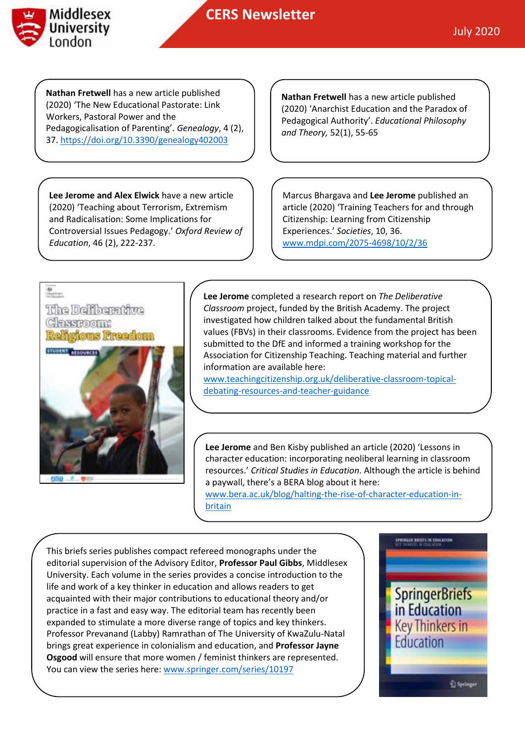

**Nathan Fretwell** has a new article published (2020) 'The New Educational Pastorate: Link Workers, Pastoral Power and the Pedagogicalisation of Parenting'. *Genealogy*, 4 (2), 37[. https://doi.org/10.3390/genealogy402003](https://doi.org/10.3390/genealogy402003)

**Lee Jerome and Alex Elwick** have a new article (2020) 'Teaching about Terrorism, Extremism and Radicalisation: Some Implications for Controversial Issues Pedagogy.' *Oxford Review of Education*, 46 (2), 222-237.

**Nathan Fretwell** has a new article published (2020) 'Anarchist Education and the Paradox of Pedagogical Authority'. *Educational Philosophy and Theory,* 52(1), 55-65

Marcus Bhargava and **Lee Jerome** published an article (2020) 'Training Teachers for and through Citizenship: Learning from Citizenship Experiences.' *Societies*, 10, 36. [www.mdpi.com/2075-4698/10/2/36](http://www.mdpi.com/2075-4698/10/2/36)



**Lee Jerome** completed a research report on *The Deliberative Classroom* project, funded by the British Academy. The project investigated how children talked about the fundamental British values (FBVs) in their classrooms. Evidence from the project has been submitted to the DfE and informed a training workshop for the Association for Citizenship Teaching. Teaching material and further information are available here:

[www.teachingcitizenship.org.uk/deliberative-classroom-topical](http://www.teachingcitizenship.org.uk/deliberative-classroom-topical-debating-resources-and-teacher-guidance)[debating-resources-and-teacher-guidance](http://www.teachingcitizenship.org.uk/deliberative-classroom-topical-debating-resources-and-teacher-guidance)

**Lee Jerome** and Ben Kisby published an article (2020) 'Lessons in character education: incorporating neoliberal learning in classroom resources.' *Critical Studies in Education*. Although the article is behind a paywall, there's a BERA blog about it here:

[www.bera.ac.uk/blog/halting-the-rise-of-character-education-in](http://www.bera.ac.uk/blog/halting-the-rise-of-character-education-in-britain)[britain](http://www.bera.ac.uk/blog/halting-the-rise-of-character-education-in-britain)

This briefs series publishes compact refereed monographs under the editorial supervision of the Advisory Editor, **Professor Paul Gibbs**, Middlesex University. Each volume in the series provides a concise introduction to the life and work of a key thinker in education and allows readers to get acquainted with their major contributions to educational theory and/or practice in a fast and easy way. The editorial team has recently been expanded to stimulate a more diverse range of topics and key thinkers. Professor Prevanand (Labby) Ramrathan of The University of KwaZulu-Natal brings great experience in colonialism and education, and **Professor Jayne Osgood** will ensure that more women / feminist thinkers are represented. You can view the series here[: www.springer.com/series/10197](http://www.springer.com/series/10197)

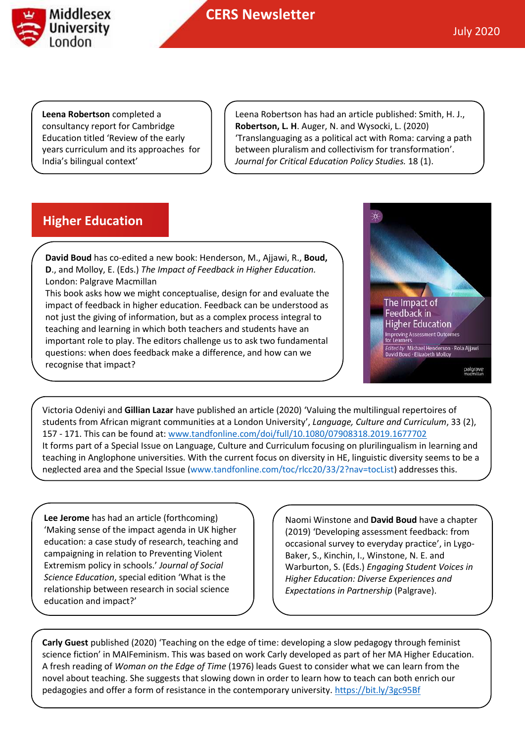

**Leena Robertson** completed a consultancy report for Cambridge Education titled 'Review of the early years curriculum and its approaches for India's bilingual context'

Leena Robertson has had an article published: Smith, H. J., **Robertson, L. H**. Auger, N. and Wysocki, L. (2020) 'Translanguaging as a political act with Roma: carving a path between pluralism and collectivism for transformation'. *Journal for Critical Education Policy Studies.* 18 (1).

## **Higher Education**

**David Boud** has co-edited a new book: Henderson, M., Ajjawi, R., **Boud, D**., and Molloy, E. (Eds.) *The Impact of Feedback in Higher Education.*  London: Palgrave Macmillan

This book asks how we might conceptualise, design for and evaluate the impact of feedback in higher education. Feedback can be understood as not just the giving of information, but as a complex process integral to teaching and learning in which both teachers and students have an important role to play. The editors challenge us to ask two fundamental questions: when does feedback make a difference, and how can we recognise that impact?



Victoria Odeniyi and **Gillian Lazar** have published an article (2020) 'Valuing the multilingual repertoires of students from African migrant communities at a London University', *Language, Culture and Curriculum*, 33 (2), 157 - 171. This can be found at: [www.tandfonline.com/doi/full/10.1080/07908318.2019.1677702](http://www.tandfonline.com/doi/full/10.1080/07908318.2019.1677702)  It forms part of a Special Issue on Language, Culture and Curriculum focusing on plurilingualism in learning and teaching in Anglophone universities. With the current focus on diversity in HE, linguistic diversity seems to be a neglected area and the Special Issue [\(www.tandfonline.com/toc/rlcc20/33/2?nav=tocList\)](http://www.tandfonline.com/toc/rlcc20/33/2?nav=tocList) addresses this.

**Lee Jerome** has had an article (forthcoming) 'Making sense of the impact agenda in UK higher education: a case study of research, teaching and campaigning in relation to Preventing Violent Extremism policy in schools.' *Journal of Social Science Education*, special edition 'What is the relationship between research in social science education and impact?'

Naomi Winstone and **David Boud** have a chapter (2019) 'Developing assessment feedback: from occasional survey to everyday practice', in Lygo-Baker, S., Kinchin, I., Winstone, N. E. and Warburton, S. (Eds.) *Engaging Student Voices in Higher Education: Diverse Experiences and Expectations in Partnership* (Palgrave).

**Carly Guest** published (2020) 'Teaching on the edge of time: developing a slow pedagogy through feminist science fiction' in MAIFeminism. This was based on work Carly developed as part of her MA Higher Education. A fresh reading of *Woman on the Edge of Time* (1976) leads Guest to consider what we can learn from the novel about teaching. She suggests that slowing down in order to learn how to teach can both enrich our pedagogies and offer a form of resistance in the contemporary university[. https://bit.ly/3gc95Bf](https://bit.ly/3gc95Bf)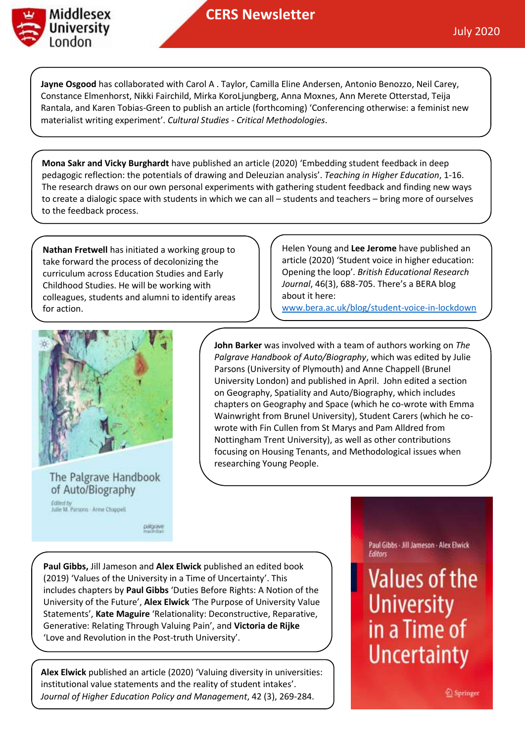

**Jayne Osgood** has collaborated with Carol A . Taylor, Camilla Eline Andersen, Antonio Benozzo, Neil Carey, Constance Elmenhorst, Nikki Fairchild, Mirka KoroLjungberg, Anna Moxnes, Ann Merete Otterstad, Teija Rantala, and Karen Tobias-Green to publish an article (forthcoming) 'Conferencing otherwise: a feminist new materialist writing experiment'. *Cultural Studies - Critical Methodologies*.

**Mona Sakr and Vicky Burghardt** have published an article (2020) 'Embedding student feedback in deep pedagogic reflection: the potentials of drawing and Deleuzian analysis'. *Teaching in Higher Education*, 1-16. The research draws on our own personal experiments with gathering student feedback and finding new ways to create a dialogic space with students in which we can all – students and teachers – bring more of ourselves to the feedback process.

**Nathan Fretwell** has initiated a working group to take forward the process of decolonizing the curriculum across Education Studies and Early Childhood Studies. He will be working with colleagues, students and alumni to identify areas for action.

Helen Young and **Lee Jerome** have published an article (2020) 'Student voice in higher education: Opening the loop'. *British Educational Research Journal*, 46(3), 688-705. There's a BERA blog about it here:

www.bera.ac.uk/blog/student-voice-in-lockdown



The Palgrave Handbook of Auto/Biography

Edited by<br>Julie M. Parsons - Arme Chappell.

palgrave

**John Barker** was involved with a team of authors working on *The Palgrave Handbook of Auto/Biography*, which was edited by Julie Parsons (University of Plymouth) and Anne Chappell (Brunel University London) and published in April. John edited a section on Geography, Spatiality and Auto/Biography, which includes chapters on Geography and Space (which he co-wrote with Emma Wainwright from Brunel University), Student Carers (which he cowrote with Fin Cullen from St Marys and Pam Alldred from Nottingham Trent University), as well as other contributions focusing on Housing Tenants, and Methodological issues when researching Young People.

**Paul Gibbs,** Jill Jameson and **Alex Elwick** published an edited book (2019) 'Values of the University in a Time of Uncertainty'. This includes chapters by **Paul Gibbs** 'Duties Before Rights: A Notion of the University of the Future', **Alex Elwick** 'The Purpose of University Value Statements', **Kate Maguire** 'Relationality: Deconstructive, Reparative, Generative: Relating Through Valuing Pain', and **Victoria de Rijke**  'Love and Revolution in the Post-truth University'.

**Alex Elwick** published an article (2020) 'Valuing diversity in universities: institutional value statements and the reality of student intakes'. *Journal of Higher Education Policy and Management*, 42 (3), 269-284.

Paul Gibbs - Jill Jameson - Alex Elwick Editors

**Values of the University** in a Time of **Uncertainty** 

Springer